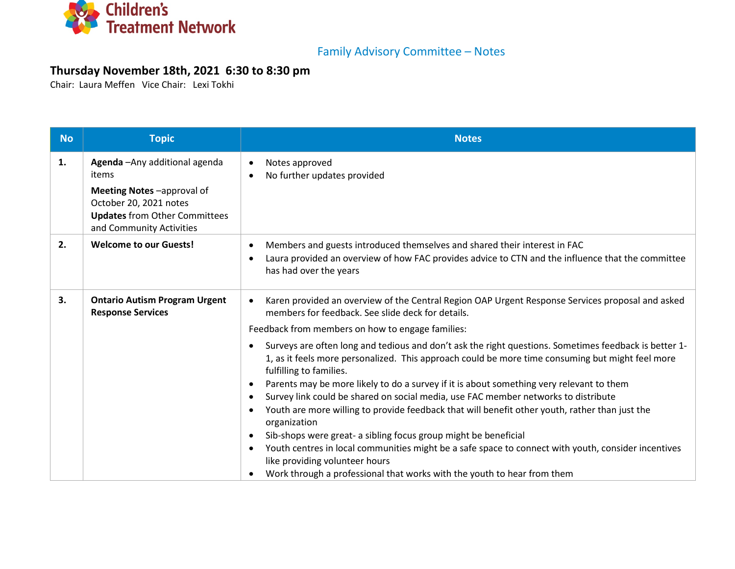

## Family Advisory Committee – Notes

## **Thursday November 18th, 2021 6:30 to 8:30 pm**

Chair: Laura Meffen Vice Chair: Lexi Tokhi

| <b>No</b> | <b>Topic</b>                                                                                                                                                       | <b>Notes</b>                                                                                                                                                                                                                                                                                                                                                                                                                                                                                                                                                                                                                                                                                                                                                                                                                                                                                     |
|-----------|--------------------------------------------------------------------------------------------------------------------------------------------------------------------|--------------------------------------------------------------------------------------------------------------------------------------------------------------------------------------------------------------------------------------------------------------------------------------------------------------------------------------------------------------------------------------------------------------------------------------------------------------------------------------------------------------------------------------------------------------------------------------------------------------------------------------------------------------------------------------------------------------------------------------------------------------------------------------------------------------------------------------------------------------------------------------------------|
| 1.        | Agenda - Any additional agenda<br>items<br>Meeting Notes-approval of<br>October 20, 2021 notes<br><b>Updates from Other Committees</b><br>and Community Activities | Notes approved<br>$\bullet$<br>No further updates provided<br>$\bullet$                                                                                                                                                                                                                                                                                                                                                                                                                                                                                                                                                                                                                                                                                                                                                                                                                          |
| 2.        | <b>Welcome to our Guests!</b>                                                                                                                                      | Members and guests introduced themselves and shared their interest in FAC<br>$\bullet$<br>Laura provided an overview of how FAC provides advice to CTN and the influence that the committee<br>$\bullet$<br>has had over the years                                                                                                                                                                                                                                                                                                                                                                                                                                                                                                                                                                                                                                                               |
| 3.        | <b>Ontario Autism Program Urgent</b><br><b>Response Services</b>                                                                                                   | Karen provided an overview of the Central Region OAP Urgent Response Services proposal and asked<br>$\bullet$<br>members for feedback. See slide deck for details.<br>Feedback from members on how to engage families:                                                                                                                                                                                                                                                                                                                                                                                                                                                                                                                                                                                                                                                                           |
|           |                                                                                                                                                                    | Surveys are often long and tedious and don't ask the right questions. Sometimes feedback is better 1-<br>1, as it feels more personalized. This approach could be more time consuming but might feel more<br>fulfilling to families.<br>Parents may be more likely to do a survey if it is about something very relevant to them<br>$\bullet$<br>Survey link could be shared on social media, use FAC member networks to distribute<br>$\bullet$<br>Youth are more willing to provide feedback that will benefit other youth, rather than just the<br>$\bullet$<br>organization<br>Sib-shops were great- a sibling focus group might be beneficial<br>$\bullet$<br>Youth centres in local communities might be a safe space to connect with youth, consider incentives<br>$\bullet$<br>like providing volunteer hours<br>Work through a professional that works with the youth to hear from them |